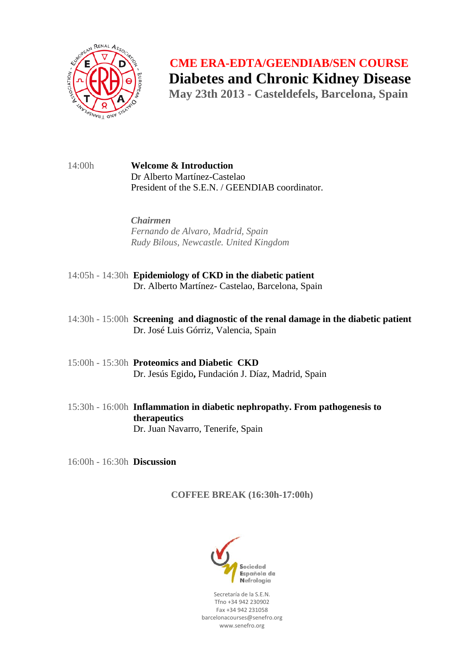

 **CME ERA-EDTA/GEENDIAB/SEN COURSE Diabetes and Chronic Kidney Disease** May 23th 2013 - Casteldefels, Barcelona, Spain

14:00h **Welcome & Introduction** Dr Alberto Martínez-Castelao President of the S.E.N. / GEENDIAB coordinator.

> *Chairmen Fernando de Alvaro, Madrid, Spain Rudy Bilous, Newcastle. United Kingdom*

- 14:05h 14:30h **Epidemiology of CKD in the diabetic patient** Dr. Alberto Martínez- Castelao, Barcelona, Spain
- 14:30h 15:00h **Screening and diagnostic of the renal damage in the diabetic patient** Dr. José Luis Górriz, Valencia, Spain
- 15:00h 15:30h **Proteomics and Diabetic CKD**  Dr. Jesús Egido**,** Fundación J. Díaz, Madrid, Spain
- 15:30h 16:00h **Inflammation in diabetic nephropathy. From pathogenesis to therapeutics** Dr. Juan Navarro, Tenerife, Spain
- 16:00h 16:30h **Discussion**

**COFFEE BREAK (16:30h-17:00h)**



Secretaría de la S.E.N. Tfno +34 942 230902 Fax +34 942 231058 barcelonacourses@senefro.org www.senefro.org